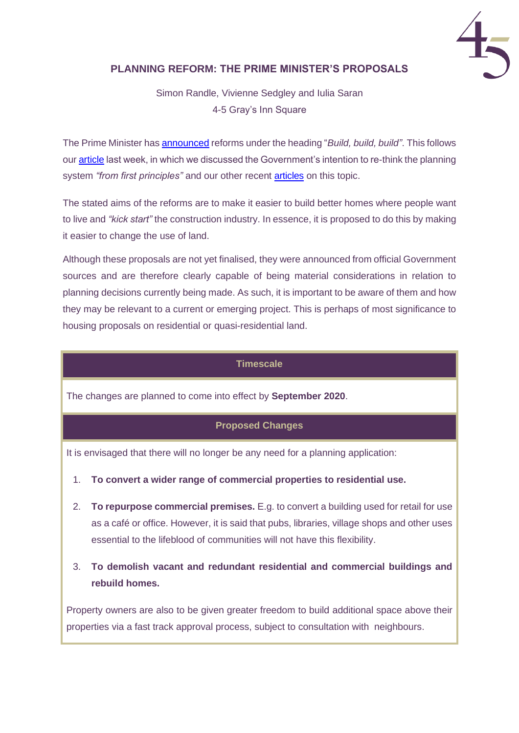

# **PLANNING REFORM: THE PRIME MINISTER'S PROPOSALS**

Simon Randle, Vivienne Sedgley and Iulia Saran 4-5 Gray's Inn Square

The Prime Minister ha[s announced](https://www.gov.uk/government/news/pm-build-build-build) reforms under the heading "*Build, build, build"*. This follows our [article](https://www.4-5.co.uk/uploads/news/4-5_GIS_Planning_Reform_-_A_New_Era.pdf) last week, in which we discussed the Government's intention to re-think the planning system *"from first principles"* and our other recent [articles](http://www.4-5.co.uk/publications) on this topic.

The stated aims of the reforms are to make it easier to build better homes where people want to live and *"kick start"* the construction industry. In essence, it is proposed to do this by making it easier to change the use of land.

Although these proposals are not yet finalised, they were announced from official Government sources and are therefore clearly capable of being material considerations in relation to planning decisions currently being made. As such, it is important to be aware of them and how they may be relevant to a current or emerging project. This is perhaps of most significance to housing proposals on residential or quasi-residential land.

### **Timescale**

The changes are planned to come into effect by **September 2020**.

## **Proposed Changes**

It is envisaged that there will no longer be any need for a planning application:

- 1. **To convert a wider range of commercial properties to residential use.**
- 2. **To repurpose commercial premises.** E.g. to convert a building used for retail for use as a café or office. However, it is said that pubs, libraries, village shops and other uses essential to the lifeblood of communities will not have this flexibility.
- 3. **To demolish vacant and redundant residential and commercial buildings and rebuild homes.**

Property owners are also to be given greater freedom to build additional space above their properties via a fast track approval process, subject to consultation with neighbours.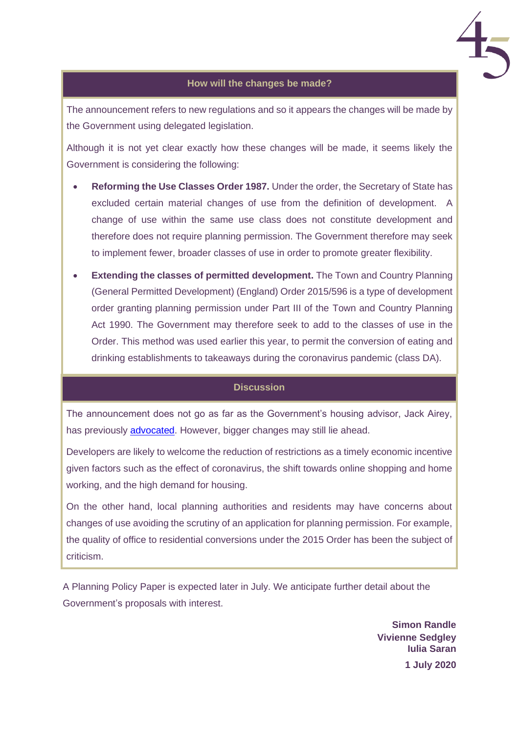

## **How will the changes be made?**

The announcement refers to new regulations and so it appears the changes will be made by the Government using delegated legislation.

Although it is not yet clear exactly how these changes will be made, it seems likely the Government is considering the following:

- **Reforming the Use Classes Order 1987.** Under the order, the Secretary of State has excluded certain material changes of use from the definition of development. A change of use within the same use class does not constitute development and therefore does not require planning permission. The Government therefore may seek to implement fewer, broader classes of use in order to promote greater flexibility.
- **Extending the classes of permitted development.** The Town and Country Planning (General Permitted Development) (England) Order 2015/596 is a type of development order granting planning permission under Part III of the Town and Country Planning Act 1990. The Government may therefore seek to add to the classes of use in the Order. This method was used earlier this year, to permit the conversion of eating and drinking establishments to takeaways during the coronavirus pandemic (class DA).

#### **Discussion**

The announcement does not go as far as the Government's housing advisor, Jack Airey, has previously [advocated.](https://policyexchange.org.uk/wp-content/uploads/Rethinking-the-Planning-System-for-the-21st-Century.pdf) However, bigger changes may still lie ahead.

Developers are likely to welcome the reduction of restrictions as a timely economic incentive given factors such as the effect of coronavirus, the shift towards online shopping and home working, and the high demand for housing.

On the other hand, local planning authorities and residents may have concerns about changes of use avoiding the scrutiny of an application for planning permission. For example, the quality of office to residential conversions under the 2015 Order has been the subject of criticism.

A Planning Policy Paper is expected later in July. We anticipate further detail about the Government's proposals with interest.

> **Simon Randle Vivienne Sedgley Iulia Saran 1 July 2020**